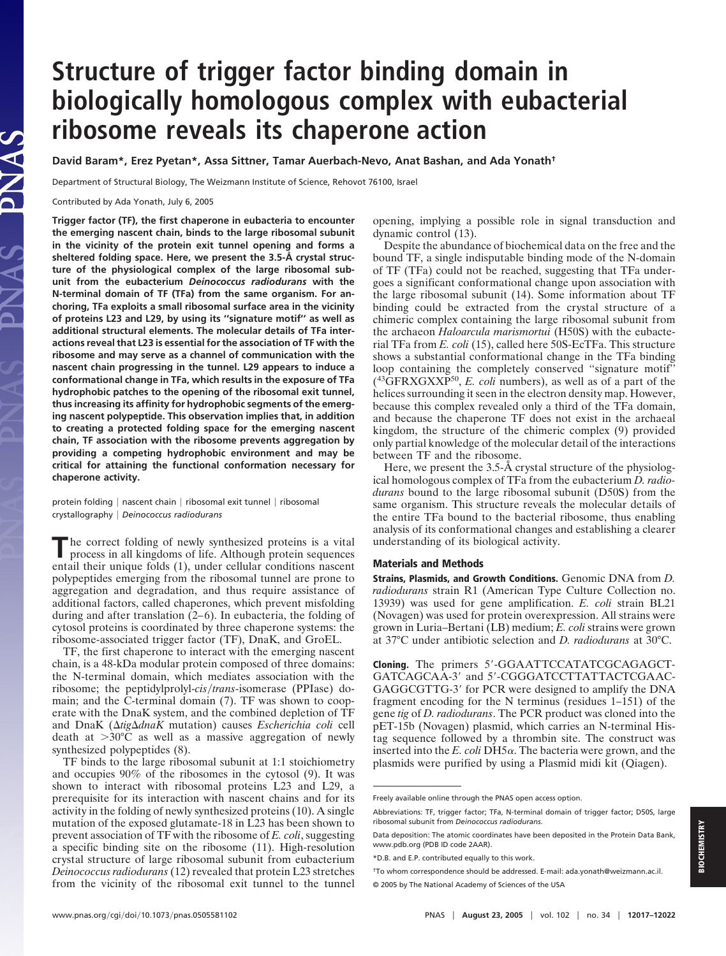# **Structure of trigger factor binding domain in biologically homologous complex with eubacterial ribosome reveals its chaperone action**

**David Baram\*, Erez Pyetan\*, Assa Sittner, Tamar Auerbach-Nevo, Anat Bashan, and Ada Yonath†**

Department of Structural Biology, The Weizmann Institute of Science, Rehovot 76100, Israel

Contributed by Ada Yonath, July 6, 2005

**Trigger factor (TF), the first chaperone in eubacteria to encounter the emerging nascent chain, binds to the large ribosomal subunit in the vicinity of the protein exit tunnel opening and forms a sheltered folding space. Here, we present the 3.5-Å crystal structure of the physiological complex of the large ribosomal subunit from the eubacterium** *Deinococcus radiodurans* **with the N-terminal domain of TF (TFa) from the same organism. For anchoring, TFa exploits a small ribosomal surface area in the vicinity of proteins L23 and L29, by using its ''signature motif'' as well as additional structural elements. The molecular details of TFa interactions reveal that L23 is essential for the association of TF with the ribosome and may serve as a channel of communication with the nascent chain progressing in the tunnel. L29 appears to induce a conformational change in TFa, which results in the exposure of TFa hydrophobic patches to the opening of the ribosomal exit tunnel, thus increasing its affinity for hydrophobic segments of the emerging nascent polypeptide. This observation implies that, in addition to creating a protected folding space for the emerging nascent chain, TF association with the ribosome prevents aggregation by providing a competing hydrophobic environment and may be critical for attaining the functional conformation necessary for chaperone activity.**

protein folding | nascent chain | ribosomal exit tunnel | ribosomal crystallography *Deinococcus radiodurans*

**T**he correct folding of newly synthesized proteins is a vital process in all kingdoms of life. Although protein sequences entail their unique folds (1), under cellular conditions nascent polypeptides emerging from the ribosomal tunnel are prone to aggregation and degradation, and thus require assistance of additional factors, called chaperones, which prevent misfolding during and after translation  $(2-6)$ . In eubacteria, the folding of cytosol proteins is coordinated by three chaperone systems: the ribosome-associated trigger factor (TF), DnaK, and GroEL.

TF, the first chaperone to interact with the emerging nascent chain, is a 48-kDa modular protein composed of three domains: the N-terminal domain, which mediates association with the ribosome; the peptidylprolyl-*cis/trans*-isomerase (PPIase) domain; and the C-terminal domain (7). TF was shown to cooperate with the DnaK system, and the combined depletion of TF and DnaK (*tigdnaK* mutation) causes *Escherichia coli* cell death at  $>30^{\circ}$ C as well as a massive aggregation of newly synthesized polypeptides (8).

TF binds to the large ribosomal subunit at 1:1 stoichiometry and occupies 90% of the ribosomes in the cytosol (9). It was shown to interact with ribosomal proteins L23 and L29, a prerequisite for its interaction with nascent chains and for its activity in the folding of newly synthesized proteins (10). A single mutation of the exposed glutamate-18 in L23 has been shown to prevent association of TF with the ribosome of *E. coli*, suggesting a specific binding site on the ribosome (11). High-resolution crystal structure of large ribosomal subunit from eubacterium *Deinococcus radiodurans* (12) revealed that protein L23 stretches from the vicinity of the ribosomal exit tunnel to the tunnel opening, implying a possible role in signal transduction and dynamic control (13).

Despite the abundance of biochemical data on the free and the bound TF, a single indisputable binding mode of the N-domain of TF (TFa) could not be reached, suggesting that TFa undergoes a significant conformational change upon association with the large ribosomal subunit (14). Some information about TF binding could be extracted from the crystal structure of a chimeric complex containing the large ribosomal subunit from the archaeon *Haloarcula marismortui* (H50S) with the eubacterial TFa from *E. coli* (15), called here 50S-EcTFa. This structure shows a substantial conformational change in the TFa binding loop containing the completely conserved ''signature motif'' (43GFRXGXXP50, *E. coli* numbers), as well as of a part of the helices surrounding it seen in the electron density map. However, because this complex revealed only a third of the TFa domain, and because the chaperone TF does not exist in the archaeal kingdom, the structure of the chimeric complex (9) provided only partial knowledge of the molecular detail of the interactions between TF and the ribosome.

Here, we present the 3.5-Å crystal structure of the physiological homologous complex of TFa from the eubacterium *D. radiodurans* bound to the large ribosomal subunit (D50S) from the same organism. This structure reveals the molecular details of the entire TFa bound to the bacterial ribosome, thus enabling analysis of its conformational changes and establishing a clearer understanding of its biological activity.

#### **Materials and Methods**

**Strains, Plasmids, and Growth Conditions.** Genomic DNA from *D. radiodurans* strain R1 (American Type Culture Collection no. 13939) was used for gene amplification. *E. coli* strain BL21 (Novagen) was used for protein overexpression. All strains were grown in Luria–Bertani (LB) medium; *E. coli* strains were grown at 37°C under antibiotic selection and *D. radiodurans* at 30°C.

**Cloning.** The primers 5-GGAATTCCATATCGCAGAGCT-GATCAGCAA-3' and 5'-CGGGATCCTTATTACTCGAAC-GAGGCGTTG-3' for PCR were designed to amplify the DNA fragment encoding for the N terminus (residues 1–151) of the gene *tig* of *D. radiodurans*. The PCR product was cloned into the pET-15b (Novagen) plasmid, which carries an N-terminal Histag sequence followed by a thrombin site. The construct was inserted into the *E. coli* DH5 $\alpha$ . The bacteria were grown, and the plasmids were purified by using a Plasmid midi kit (Qiagen).

Freely available online through the PNAS open access option.

Abbreviations: TF, trigger factor; TFa, N-terminal domain of trigger factor; D50S, large ribosomal subunit from *Deinococcus radiodurans*.

Data deposition: The atomic coordinates have been deposited in the Protein Data Bank, www.pdb.org (PDB ID code 2AAR).

<sup>\*</sup>D.B. and E.P. contributed equally to this work.

<sup>†</sup>To whom correspondence should be addressed. E-mail: ada.yonath@weizmann.ac.il. © 2005 by The National Academy of Sciences of the USA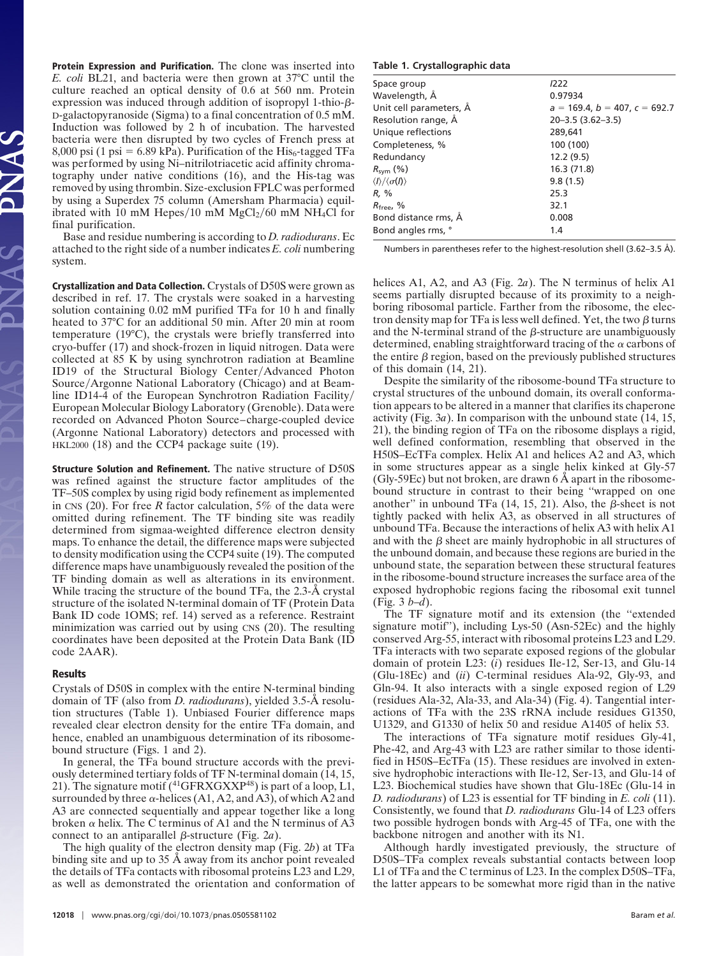**Protein Expression and Purification.** The clone was inserted into *E. coli* BL21, and bacteria were then grown at 37°C until the culture reached an optical density of 0.6 at 560 nm. Protein expression was induced through addition of isopropyl 1-thio- $\beta$ -D-galactopyranoside (Sigma) to a final concentration of 0.5 mM. Induction was followed by 2 h of incubation. The harvested bacteria were then disrupted by two cycles of French press at 8,000 psi (1 psi = 6.89 kPa). Purification of the  $His_6$ -tagged TFa was performed by using Ni–nitrilotriacetic acid affinity chromatography under native conditions (16), and the His-tag was removed by using thrombin. Size-exclusion FPLC was performed by using a Superdex 75 column (Amersham Pharmacia) equilibrated with 10 mM Hepes/10 mM  $MgCl<sub>2</sub>/60$  mM NH<sub>4</sub>Cl for final purification.

Base and residue numbering is according to *D. radiodurans*. Ec attached to the right side of a number indicates *E. coli* numbering system.

**Crystallization and Data Collection.** Crystals of D50S were grown as described in ref. 17. The crystals were soaked in a harvesting solution containing 0.02 mM purified TFa for 10 h and finally heated to 37°C for an additional 50 min. After 20 min at room temperature (19°C), the crystals were briefly transferred into cryo-buffer (17) and shock-frozen in liquid nitrogen. Data were collected at 85 K by using synchrotron radiation at Beamline ID19 of the Structural Biology Center/Advanced Photon Source/Argonne National Laboratory (Chicago) and at Beamline ID14-4 of the European Synchrotron Radiation Facility/ European Molecular Biology Laboratory (Grenoble). Data were recorded on Advanced Photon Source–charge-coupled device (Argonne National Laboratory) detectors and processed with HKL2000 (18) and the CCP4 package suite (19).

**Structure Solution and Refinement.** The native structure of D50S was refined against the structure factor amplitudes of the TF–50S complex by using rigid body refinement as implemented in CNS (20). For free *R* factor calculation, 5% of the data were omitted during refinement. The TF binding site was readily determined from sigmaa-weighted difference electron density maps. To enhance the detail, the difference maps were subjected to density modification using the CCP4 suite (19). The computed difference maps have unambiguously revealed the position of the TF binding domain as well as alterations in its environment. While tracing the structure of the bound TFa, the 2.3-Å crystal structure of the isolated N-terminal domain of TF (Protein Data Bank ID code 1OMS; ref. 14) served as a reference. Restraint minimization was carried out by using CNS (20). The resulting coordinates have been deposited at the Protein Data Bank (ID code 2AAR).

## **Results**

Crystals of D50S in complex with the entire N-terminal binding domain of TF (also from *D. radiodurans*), yielded 3.5-Å resolution structures (Table 1). Unbiased Fourier difference maps revealed clear electron density for the entire TFa domain, and hence, enabled an unambiguous determination of its ribosomebound structure (Figs. 1 and 2).

In general, the TFa bound structure accords with the previously determined tertiary folds of TF N-terminal domain (14, 15, 21). The signature motif  $(^{41}GFRXGXP^{48})$  is part of a loop, L1, surrounded by three  $\alpha$ -helices (A1, A2, and A3), of which A2 and A3 are connected sequentially and appear together like a long broken  $\alpha$  helix. The C terminus of A1 and the N terminus of A3 connect to an antiparallel  $\beta$ -structure (Fig. 2*a*).

The high quality of the electron density map (Fig. 2*b*) at TFa binding site and up to 35 Å away from its anchor point revealed the details of TFa contacts with ribosomal proteins L23 and L29, as well as demonstrated the orientation and conformation of

### **Table 1. Crystallographic data**

| Space group                                     | 1222                                  |
|-------------------------------------------------|---------------------------------------|
| Wavelength, Å                                   | 0.97934                               |
| Unit cell parameters, A                         | $a = 169.4$ , $b = 407$ , $c = 692.7$ |
| Resolution range, A                             | $20 - 3.5$ (3.62-3.5)                 |
| Unique reflections                              | 289,641                               |
| Completeness, %                                 | 100 (100)                             |
| Redundancy                                      | 12.2(9.5)                             |
| $R_{sym}$ (%)                                   | 16.3 (71.8)                           |
| $\langle I \rangle / \langle \sigma(I) \rangle$ | 9.8(1.5)                              |
| R. %                                            | 25.3                                  |
| $R_{\text{freq}}$ , %                           | 32.1                                  |
| Bond distance rms, A                            | 0.008                                 |
| Bond angles rms, °                              | 1.4                                   |
|                                                 |                                       |

Numbers in parentheses refer to the highest-resolution shell (3.62–3.5 Å).

helices A1, A2, and A3 (Fig. 2*a*). The N terminus of helix A1 seems partially disrupted because of its proximity to a neighboring ribosomal particle. Farther from the ribosome, the electron density map for TFa is less well defined. Yet, the two  $\beta$  turns and the N-terminal strand of the  $\beta$ -structure are unambiguously determined, enabling straightforward tracing of the  $\alpha$  carbons of the entire  $\beta$  region, based on the previously published structures of this domain (14, 21).

Despite the similarity of the ribosome-bound TFa structure to crystal structures of the unbound domain, its overall conformation appears to be altered in a manner that clarifies its chaperone activity (Fig. 3*a*). In comparison with the unbound state (14, 15, 21), the binding region of TFa on the ribosome displays a rigid, well defined conformation, resembling that observed in the H50S–EcTFa complex. Helix A1 and helices A2 and A3, which in some structures appear as a single helix kinked at Gly-57 (Gly-59Ec) but not broken, are drawn 6 Å apart in the ribosomebound structure in contrast to their being ''wrapped on one another" in unbound TFa  $(14, 15, 21)$ . Also, the  $\beta$ -sheet is not tightly packed with helix A3, as observed in all structures of unbound TFa. Because the interactions of helix A3 with helix A1 and with the  $\beta$  sheet are mainly hydrophobic in all structures of the unbound domain, and because these regions are buried in the unbound state, the separation between these structural features in the ribosome-bound structure increases the surface area of the exposed hydrophobic regions facing the ribosomal exit tunnel (Fig. 3 *b*–*d*).

The TF signature motif and its extension (the ''extended signature motif''), including Lys-50 (Asn-52Ec) and the highly conserved Arg-55, interact with ribosomal proteins L23 and L29. TFa interacts with two separate exposed regions of the globular domain of protein L23: (*i*) residues Ile-12, Ser-13, and Glu-14 (Glu-18Ec) and (*ii*) C-terminal residues Ala-92, Gly-93, and Gln-94. It also interacts with a single exposed region of L29 (residues Ala-32, Ala-33, and Ala-34) (Fig. 4). Tangential interactions of TFa with the 23S rRNA include residues G1350, U1329, and G1330 of helix 50 and residue A1405 of helix 53.

The interactions of TFa signature motif residues Gly-41, Phe-42, and Arg-43 with L23 are rather similar to those identified in H50S–EcTFa (15). These residues are involved in extensive hydrophobic interactions with Ile-12, Ser-13, and Glu-14 of L23. Biochemical studies have shown that Glu-18Ec (Glu-14 in *D. radiodurans*) of L23 is essential for TF binding in *E. coli* (11). Consistently, we found that *D. radiodurans* Glu-14 of L23 offers two possible hydrogen bonds with Arg-45 of TFa, one with the backbone nitrogen and another with its N1.

Although hardly investigated previously, the structure of D50S–TFa complex reveals substantial contacts between loop L1 of TFa and the C terminus of L23. In the complex D50S–TFa, the latter appears to be somewhat more rigid than in the native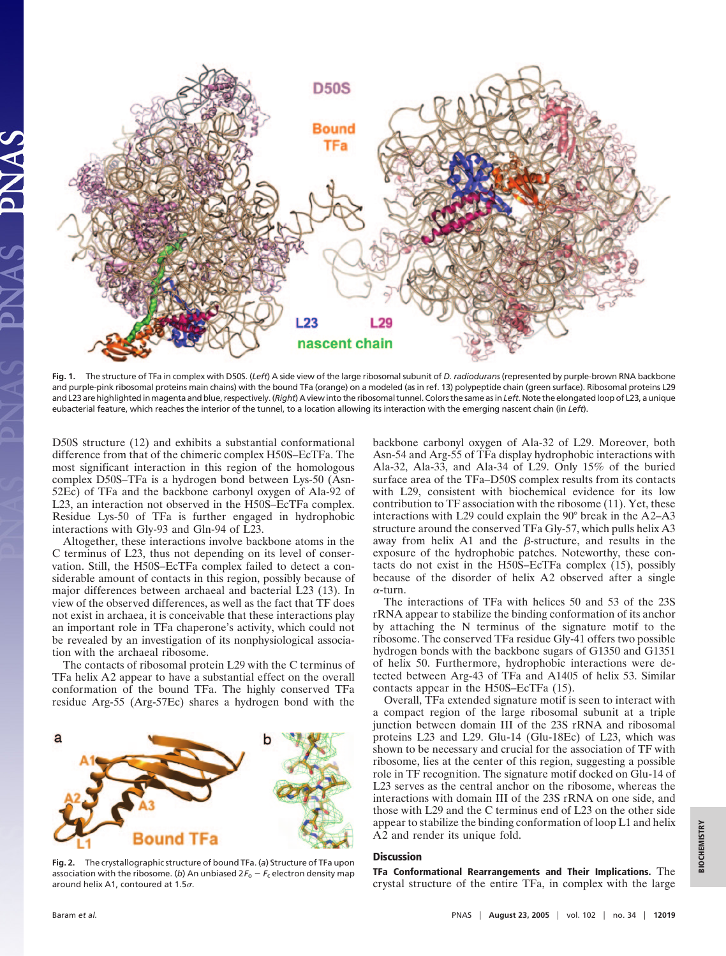

**Fig. 1.** The structure of TFa in complex with D50S. (*Left*) A side view of the large ribosomal subunit of *D. radiodurans* (represented by purple-brown RNA backbone and purple-pink ribosomal proteins main chains) with the bound TFa (orange) on a modeled (as in ref. 13) polypeptide chain (green surface). Ribosomal proteins L29 and L23 are highlighted in magenta and blue, respectively. (*Right*) A view into the ribosomal tunnel. Colors the same as in*Left*. Note the elongated loop of L23, a unique eubacterial feature, which reaches the interior of the tunnel, to a location allowing its interaction with the emerging nascent chain (in *Left*).

D50S structure (12) and exhibits a substantial conformational difference from that of the chimeric complex H50S–EcTFa. The most significant interaction in this region of the homologous complex D50S–TFa is a hydrogen bond between Lys-50 (Asn-52Ec) of TFa and the backbone carbonyl oxygen of Ala-92 of L23, an interaction not observed in the H50S–EcTFa complex. Residue Lys-50 of TFa is further engaged in hydrophobic interactions with Gly-93 and Gln-94 of L23.

Altogether, these interactions involve backbone atoms in the C terminus of L23, thus not depending on its level of conservation. Still, the H50S–EcTFa complex failed to detect a considerable amount of contacts in this region, possibly because of major differences between archaeal and bacterial L23 (13). In view of the observed differences, as well as the fact that TF does not exist in archaea, it is conceivable that these interactions play an important role in TFa chaperone's activity, which could not be revealed by an investigation of its nonphysiological association with the archaeal ribosome.

The contacts of ribosomal protein L29 with the C terminus of TFa helix A2 appear to have a substantial effect on the overall conformation of the bound TFa. The highly conserved TFa residue Arg-55 (Arg-57Ec) shares a hydrogen bond with the



**Fig. 2.** The crystallographic structure of bound TFa. (*a*) Structure of TFa upon association with the ribosome. (b) An unbiased  $2F_0 - F_c$  electron density map around helix A1, contoured at 1.5 $\sigma$ .

backbone carbonyl oxygen of Ala-32 of L29. Moreover, both Asn-54 and Arg-55 of TFa display hydrophobic interactions with Ala-32, Ala-33, and Ala-34 of L29. Only 15% of the buried surface area of the TFa–D50S complex results from its contacts with L29, consistent with biochemical evidence for its low contribution to TF association with the ribosome (11). Yet, these interactions with L29 could explain the 90° break in the A2–A3 structure around the conserved TFa Gly-57, which pulls helix A3 away from helix A1 and the  $\beta$ -structure, and results in the exposure of the hydrophobic patches. Noteworthy, these contacts do not exist in the H50S–EcTFa complex (15), possibly because of the disorder of helix A2 observed after a single  $\alpha$ -turn.

The interactions of TFa with helices 50 and 53 of the 23S rRNA appear to stabilize the binding conformation of its anchor by attaching the N terminus of the signature motif to the ribosome. The conserved TFa residue Gly-41 offers two possible hydrogen bonds with the backbone sugars of G1350 and G1351 of helix 50. Furthermore, hydrophobic interactions were detected between Arg-43 of TFa and A1405 of helix 53. Similar contacts appear in the H50S–EcTFa (15).

Overall, TFa extended signature motif is seen to interact with a compact region of the large ribosomal subunit at a triple junction between domain III of the 23S rRNA and ribosomal proteins L23 and L29. Glu-14 (Glu-18Ec) of L23, which was shown to be necessary and crucial for the association of TF with ribosome, lies at the center of this region, suggesting a possible role in TF recognition. The signature motif docked on Glu-14 of L23 serves as the central anchor on the ribosome, whereas the interactions with domain III of the 23S rRNA on one side, and those with L29 and the C terminus end of L23 on the other side appear to stabilize the binding conformation of loop L1 and helix A2 and render its unique fold.

## **Discussion**

**TFa Conformational Rearrangements and Their Implications.** The crystal structure of the entire TFa, in complex with the large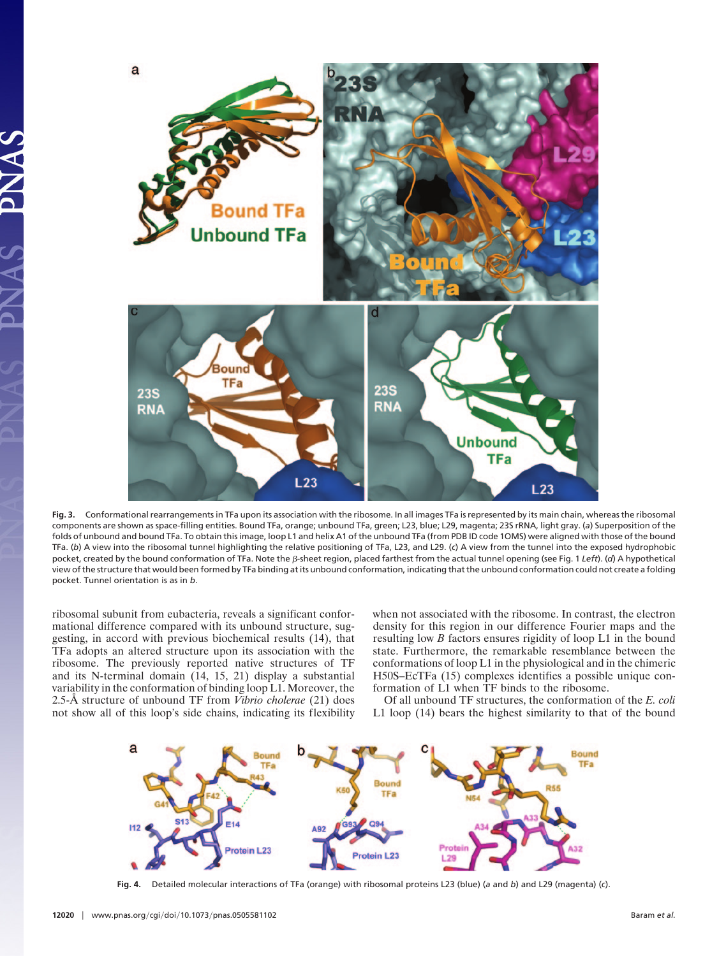

**Fig. 3.** Conformational rearrangements in TFa upon its association with the ribosome. In all images TFa is represented by its main chain, whereas the ribosomal components are shown as space-filling entities. Bound TFa, orange; unbound TFa, green; L23, blue; L29, magenta; 23S rRNA, light gray. (*a*) Superposition of the folds of unbound and bound TFa. To obtain this image, loop L1 and helix A1 of the unbound TFa (from PDB ID code 1OMS) were aligned with those of the bound TFa. (*b*) A view into the ribosomal tunnel highlighting the relative positioning of TFa, L23, and L29. (*c*) A view from the tunnel into the exposed hydrophobic pocket, created by the bound conformation of TFa. Note the β-sheet region, placed farthest from the actual tunnel opening (see Fig. 1 *Left*). (d) A hypothetical view of the structure that would been formed by TFa binding at its unbound conformation, indicating that the unbound conformation could not create a folding pocket. Tunnel orientation is as in *b*.

ribosomal subunit from eubacteria, reveals a significant conformational difference compared with its unbound structure, suggesting, in accord with previous biochemical results (14), that TFa adopts an altered structure upon its association with the ribosome. The previously reported native structures of TF and its N-terminal domain (14, 15, 21) display a substantial variability in the conformation of binding loop L1. Moreover, the 2.5-Å structure of unbound TF from *Vibrio cholerae* (21) does not show all of this loop's side chains, indicating its flexibility when not associated with the ribosome. In contrast, the electron density for this region in our difference Fourier maps and the resulting low *B* factors ensures rigidity of loop L1 in the bound state. Furthermore, the remarkable resemblance between the conformations of loop L1 in the physiological and in the chimeric H50S–EcTFa (15) complexes identifies a possible unique conformation of L1 when TF binds to the ribosome.

Of all unbound TF structures, the conformation of the *E. coli* L1 loop (14) bears the highest similarity to that of the bound



**Fig. 4.** Detailed molecular interactions of TFa (orange) with ribosomal proteins L23 (blue) (*a* and *b*) and L29 (magenta) (*c*).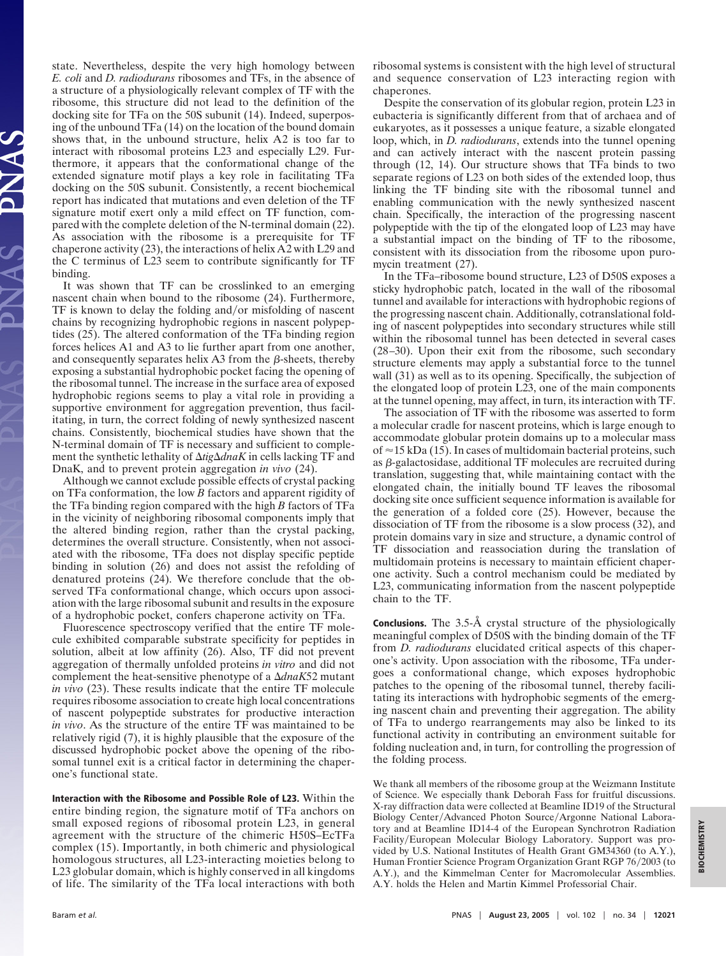state. Nevertheless, despite the very high homology between *E. coli* and *D. radiodurans* ribosomes and TFs, in the absence of a structure of a physiologically relevant complex of TF with the ribosome, this structure did not lead to the definition of the docking site for TFa on the 50S subunit (14). Indeed, superposing of the unbound TFa (14) on the location of the bound domain shows that, in the unbound structure, helix A2 is too far to interact with ribosomal proteins L23 and especially L29. Furthermore, it appears that the conformational change of the extended signature motif plays a key role in facilitating TFa docking on the 50S subunit. Consistently, a recent biochemical report has indicated that mutations and even deletion of the TF signature motif exert only a mild effect on TF function, compared with the complete deletion of the N-terminal domain (22). As association with the ribosome is a prerequisite for TF chaperone activity (23), the interactions of helix A2 with L29 and the C terminus of L23 seem to contribute significantly for TF binding.

It was shown that TF can be crosslinked to an emerging nascent chain when bound to the ribosome (24). Furthermore, TF is known to delay the folding and/or misfolding of nascent chains by recognizing hydrophobic regions in nascent polypeptides (25). The altered conformation of the TFa binding region forces helices A1 and A3 to lie further apart from one another, and consequently separates helix  $A3$  from the  $\beta$ -sheets, thereby exposing a substantial hydrophobic pocket facing the opening of the ribosomal tunnel. The increase in the surface area of exposed hydrophobic regions seems to play a vital role in providing a supportive environment for aggregation prevention, thus facilitating, in turn, the correct folding of newly synthesized nascent chains. Consistently, biochemical studies have shown that the N-terminal domain of TF is necessary and sufficient to complement the synthetic lethality of  $\Delta t$ ig $\Delta$ *dnaK* in cells lacking TF and DnaK, and to prevent protein aggregation *in vivo* (24).

Although we cannot exclude possible effects of crystal packing on TFa conformation, the low *B* factors and apparent rigidity of the TFa binding region compared with the high *B* factors of TFa in the vicinity of neighboring ribosomal components imply that the altered binding region, rather than the crystal packing, determines the overall structure. Consistently, when not associated with the ribosome, TFa does not display specific peptide binding in solution (26) and does not assist the refolding of denatured proteins (24). We therefore conclude that the observed TFa conformational change, which occurs upon association with the large ribosomal subunit and results in the exposure of a hydrophobic pocket, confers chaperone activity on TFa.

Fluorescence spectroscopy verified that the entire TF molecule exhibited comparable substrate specificity for peptides in solution, albeit at low affinity (26). Also, TF did not prevent aggregation of thermally unfolded proteins *in vitro* and did not complement the heat-sensitive phenotype of a  $\Delta dnaK52$  mutant *in vivo* (23). These results indicate that the entire TF molecule requires ribosome association to create high local concentrations of nascent polypeptide substrates for productive interaction *in vivo*. As the structure of the entire TF was maintained to be relatively rigid (7), it is highly plausible that the exposure of the discussed hydrophobic pocket above the opening of the ribosomal tunnel exit is a critical factor in determining the chaperone's functional state.

**Interaction with the Ribosome and Possible Role of L23.** Within the entire binding region, the signature motif of TFa anchors on small exposed regions of ribosomal protein L23, in general agreement with the structure of the chimeric H50S–EcTFa complex (15). Importantly, in both chimeric and physiological homologous structures, all L23-interacting moieties belong to L23 globular domain, which is highly conserved in all kingdoms of life. The similarity of the TFa local interactions with both

ribosomal systems is consistent with the high level of structural and sequence conservation of L23 interacting region with chaperones.

Despite the conservation of its globular region, protein L23 in eubacteria is significantly different from that of archaea and of eukaryotes, as it possesses a unique feature, a sizable elongated loop, which, in *D. radiodurans*, extends into the tunnel opening and can actively interact with the nascent protein passing through (12, 14). Our structure shows that TFa binds to two separate regions of L23 on both sides of the extended loop, thus linking the TF binding site with the ribosomal tunnel and enabling communication with the newly synthesized nascent chain. Specifically, the interaction of the progressing nascent polypeptide with the tip of the elongated loop of L23 may have a substantial impact on the binding of TF to the ribosome, consistent with its dissociation from the ribosome upon puromycin treatment (27).

In the TFa–ribosome bound structure, L23 of D50S exposes a sticky hydrophobic patch, located in the wall of the ribosomal tunnel and available for interactions with hydrophobic regions of the progressing nascent chain. Additionally, cotranslational folding of nascent polypeptides into secondary structures while still within the ribosomal tunnel has been detected in several cases (28–30). Upon their exit from the ribosome, such secondary structure elements may apply a substantial force to the tunnel wall (31) as well as to its opening. Specifically, the subjection of the elongated loop of protein L23, one of the main components at the tunnel opening, may affect, in turn, its interaction with TF.

The association of TF with the ribosome was asserted to form a molecular cradle for nascent proteins, which is large enough to accommodate globular protein domains up to a molecular mass of  $\approx$  15 kDa (15). In cases of multidomain bacterial proteins, such as  $\beta$ -galactosidase, additional TF molecules are recruited during translation, suggesting that, while maintaining contact with the elongated chain, the initially bound TF leaves the ribosomal docking site once sufficient sequence information is available for the generation of a folded core (25). However, because the dissociation of TF from the ribosome is a slow process (32), and protein domains vary in size and structure, a dynamic control of TF dissociation and reassociation during the translation of multidomain proteins is necessary to maintain efficient chaperone activity. Such a control mechanism could be mediated by L23, communicating information from the nascent polypeptide chain to the TF.

**Conclusions.** The 3.5-Å crystal structure of the physiologically meaningful complex of D50S with the binding domain of the TF from *D. radiodurans* elucidated critical aspects of this chaperone's activity. Upon association with the ribosome, TFa undergoes a conformational change, which exposes hydrophobic patches to the opening of the ribosomal tunnel, thereby facilitating its interactions with hydrophobic segments of the emerging nascent chain and preventing their aggregation. The ability of TFa to undergo rearrangements may also be linked to its functional activity in contributing an environment suitable for folding nucleation and, in turn, for controlling the progression of the folding process.

We thank all members of the ribosome group at the Weizmann Institute of Science. We especially thank Deborah Fass for fruitful discussions. X-ray diffraction data were collected at Beamline ID19 of the Structural Biology Center/Advanced Photon Source/Argonne National Laboratory and at Beamline ID14-4 of the European Synchrotron Radiation Facility/European Molecular Biology Laboratory. Support was provided by U.S. National Institutes of Health Grant GM34360 (to A.Y.), Human Frontier Science Program Organization Grant RGP 76/2003 (to A.Y.), and the Kimmelman Center for Macromolecular Assemblies. A.Y. holds the Helen and Martin Kimmel Professorial Chair.